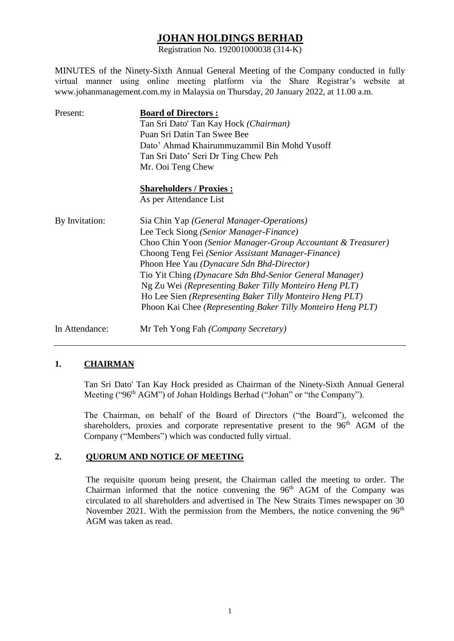# **JOHAN HOLDINGS BERHAD**

Registration No. 192001000038 (314-K)

MINUTES of the Ninety-Sixth Annual General Meeting of the Company conducted in fully virtual manner using online meeting platform via the Share Registrar's website at www.johanmanagement.com.my in Malaysia on Thursday, 20 January 2022, at 11.00 a.m.

| Present:       | <b>Board of Directors:</b>                                   |  |  |  |  |
|----------------|--------------------------------------------------------------|--|--|--|--|
|                | Tan Sri Dato' Tan Kay Hock (Chairman)                        |  |  |  |  |
|                | Puan Sri Datin Tan Swee Bee                                  |  |  |  |  |
|                | Dato' Ahmad Khairummuzammil Bin Mohd Yusoff                  |  |  |  |  |
|                | Tan Sri Dato' Seri Dr Ting Chew Peh                          |  |  |  |  |
|                | Mr. Ooi Teng Chew                                            |  |  |  |  |
|                | <b>Shareholders / Proxies:</b>                               |  |  |  |  |
|                | As per Attendance List                                       |  |  |  |  |
| By Invitation: | Sia Chin Yap (General Manager-Operations)                    |  |  |  |  |
|                | Lee Teck Siong (Senior Manager-Finance)                      |  |  |  |  |
|                | Choo Chin Yoon (Senior Manager-Group Accountant & Treasurer) |  |  |  |  |
|                | Choong Teng Fei (Senior Assistant Manager-Finance)           |  |  |  |  |
|                | Phoon Hee Yau (Dynacare Sdn Bhd-Director)                    |  |  |  |  |
|                | Tio Yit Ching (Dynacare Sdn Bhd-Senior General Manager)      |  |  |  |  |
|                | Ng Zu Wei (Representing Baker Tilly Monteiro Heng PLT)       |  |  |  |  |
|                | Ho Lee Sien (Representing Baker Tilly Monteiro Heng PLT)     |  |  |  |  |
|                | Phoon Kai Chee (Representing Baker Tilly Monteiro Heng PLT)  |  |  |  |  |

In Attendance: Mr Teh Yong Fah *(Company Secretary)*

# **1. CHAIRMAN**

Tan Sri Dato' Tan Kay Hock presided as Chairman of the Ninety-Sixth Annual General Meeting ("96<sup>th</sup> AGM") of Johan Holdings Berhad ("Johan" or "the Company").

The Chairman, on behalf of the Board of Directors ("the Board"), welcomed the shareholders, proxies and corporate representative present to the 96<sup>th</sup> AGM of the Company ("Members") which was conducted fully virtual.

# **2. QUORUM AND NOTICE OF MEETING**

The requisite quorum being present, the Chairman called the meeting to order. The Chairman informed that the notice convening the  $96<sup>th</sup>$  AGM of the Company was circulated to all shareholders and advertised in The New Straits Times newspaper on 30 November 2021. With the permission from the Members, the notice convening the  $96<sup>th</sup>$ AGM was taken as read.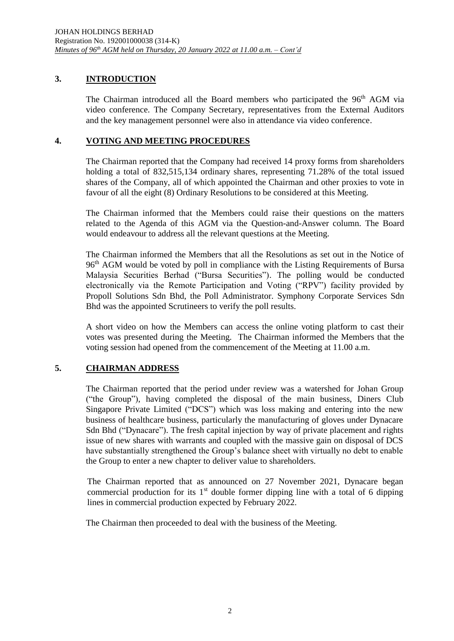# **3. INTRODUCTION**

The Chairman introduced all the Board members who participated the 96<sup>th</sup> AGM via video conference. The Company Secretary, representatives from the External Auditors and the key management personnel were also in attendance via video conference.

# **4. VOTING AND MEETING PROCEDURES**

The Chairman reported that the Company had received 14 proxy forms from shareholders holding a total of 832,515,134 ordinary shares, representing 71.28% of the total issued shares of the Company, all of which appointed the Chairman and other proxies to vote in favour of all the eight (8) Ordinary Resolutions to be considered at this Meeting.

The Chairman informed that the Members could raise their questions on the matters related to the Agenda of this AGM via the Question-and-Answer column. The Board would endeavour to address all the relevant questions at the Meeting.

The Chairman informed the Members that all the Resolutions as set out in the Notice of 96<sup>th</sup> AGM would be voted by poll in compliance with the Listing Requirements of Bursa Malaysia Securities Berhad ("Bursa Securities"). The polling would be conducted electronically via the Remote Participation and Voting ("RPV") facility provided by Propoll Solutions Sdn Bhd, the Poll Administrator. Symphony Corporate Services Sdn Bhd was the appointed Scrutineers to verify the poll results.

A short video on how the Members can access the online voting platform to cast their votes was presented during the Meeting. The Chairman informed the Members that the voting session had opened from the commencement of the Meeting at 11.00 a.m.

# **5. CHAIRMAN ADDRESS**

The Chairman reported that the period under review was a watershed for Johan Group ("the Group"), having completed the disposal of the main business, Diners Club Singapore Private Limited ("DCS") which was loss making and entering into the new business of healthcare business, particularly the manufacturing of gloves under Dynacare Sdn Bhd ("Dynacare"). The fresh capital injection by way of private placement and rights issue of new shares with warrants and coupled with the massive gain on disposal of DCS have substantially strengthened the Group's balance sheet with virtually no debt to enable the Group to enter a new chapter to deliver value to shareholders.

The Chairman reported that as announced on 27 November 2021, Dynacare began commercial production for its  $1<sup>st</sup>$  double former dipping line with a total of 6 dipping lines in commercial production expected by February 2022.

The Chairman then proceeded to deal with the business of the Meeting.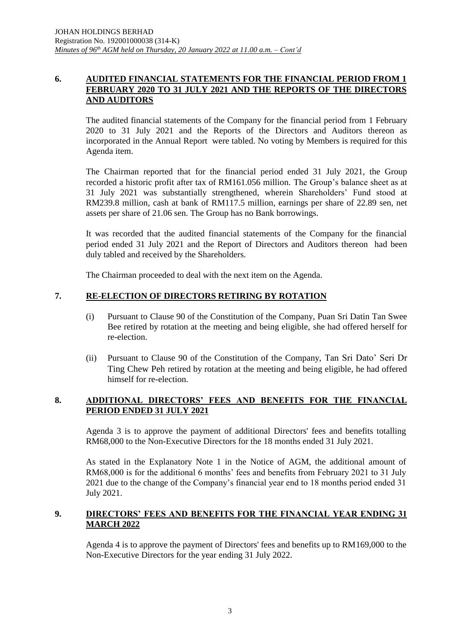### **6. AUDITED FINANCIAL STATEMENTS FOR THE FINANCIAL PERIOD FROM 1 FEBRUARY 2020 TO 31 JULY 2021 AND THE REPORTS OF THE DIRECTORS AND AUDITORS**

The audited financial statements of the Company for the financial period from 1 February 2020 to 31 July 2021 and the Reports of the Directors and Auditors thereon as incorporated in the Annual Report were tabled. No voting by Members is required for this Agenda item.

The Chairman reported that for the financial period ended 31 July 2021, the Group recorded a historic profit after tax of RM161.056 million. The Group's balance sheet as at 31 July 2021 was substantially strengthened, wherein Shareholders' Fund stood at RM239.8 million, cash at bank of RM117.5 million, earnings per share of 22.89 sen, net assets per share of 21.06 sen. The Group has no Bank borrowings.

It was recorded that the audited financial statements of the Company for the financial period ended 31 July 2021 and the Report of Directors and Auditors thereon had been duly tabled and received by the Shareholders.

The Chairman proceeded to deal with the next item on the Agenda.

# **7. RE-ELECTION OF DIRECTORS RETIRING BY ROTATION**

- (i) Pursuant to Clause 90 of the Constitution of the Company, Puan Sri Datin Tan Swee Bee retired by rotation at the meeting and being eligible, she had offered herself for re-election.
- (ii) Pursuant to Clause 90 of the Constitution of the Company, Tan Sri Dato' Seri Dr Ting Chew Peh retired by rotation at the meeting and being eligible, he had offered himself for re-election.

### **8. ADDITIONAL DIRECTORS' FEES AND BENEFITS FOR THE FINANCIAL PERIOD ENDED 31 JULY 2021**

Agenda 3 is to approve the payment of additional Directors' fees and benefits totalling RM68,000 to the Non-Executive Directors for the 18 months ended 31 July 2021.

As stated in the Explanatory Note 1 in the Notice of AGM, the additional amount of RM68,000 is for the additional 6 months' fees and benefits from February 2021 to 31 July 2021 due to the change of the Company's financial year end to 18 months period ended 31 July 2021.

# **9. DIRECTORS' FEES AND BENEFITS FOR THE FINANCIAL YEAR ENDING 31 MARCH 2022**

Agenda 4 is to approve the payment of Directors' fees and benefits up to RM169,000 to the Non-Executive Directors for the year ending 31 July 2022.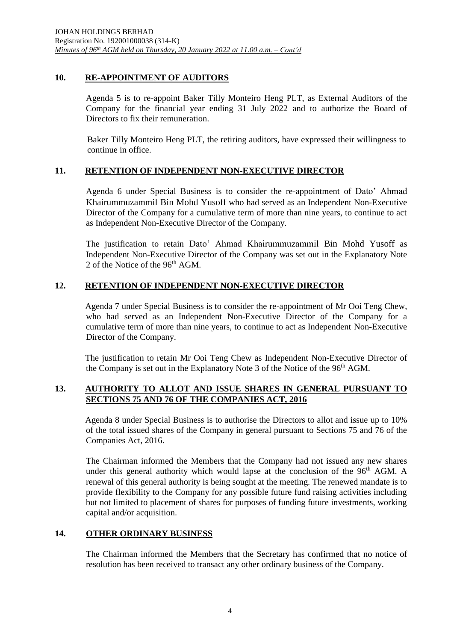# **10. RE-APPOINTMENT OF AUDITORS**

Agenda 5 is to re-appoint Baker Tilly Monteiro Heng PLT, as External Auditors of the Company for the financial year ending 31 July 2022 and to authorize the Board of Directors to fix their remuneration.

Baker Tilly Monteiro Heng PLT, the retiring auditors, have expressed their willingness to continue in office.

# **11. RETENTION OF INDEPENDENT NON-EXECUTIVE DIRECTOR**

Agenda 6 under Special Business is to consider the re-appointment of Dato' Ahmad Khairummuzammil Bin Mohd Yusoff who had served as an Independent Non-Executive Director of the Company for a cumulative term of more than nine years, to continue to act as Independent Non-Executive Director of the Company.

The justification to retain Dato' Ahmad Khairummuzammil Bin Mohd Yusoff as Independent Non-Executive Director of the Company was set out in the Explanatory Note 2 of the Notice of the  $96<sup>th</sup>$  AGM.

# **12. RETENTION OF INDEPENDENT NON-EXECUTIVE DIRECTOR**

Agenda 7 under Special Business is to consider the re-appointment of Mr Ooi Teng Chew, who had served as an Independent Non-Executive Director of the Company for a cumulative term of more than nine years, to continue to act as Independent Non-Executive Director of the Company.

The justification to retain Mr Ooi Teng Chew as Independent Non-Executive Director of the Company is set out in the Explanatory Note 3 of the Notice of the 96<sup>th</sup> AGM.

# **13. AUTHORITY TO ALLOT AND ISSUE SHARES IN GENERAL PURSUANT TO SECTIONS 75 AND 76 OF THE COMPANIES ACT, 2016**

Agenda 8 under Special Business is to authorise the Directors to allot and issue up to 10% of the total issued shares of the Company in general pursuant to Sections 75 and 76 of the Companies Act, 2016.

The Chairman informed the Members that the Company had not issued any new shares under this general authority which would lapse at the conclusion of the  $96<sup>th</sup>$  AGM. A renewal of this general authority is being sought at the meeting. The renewed mandate is to provide flexibility to the Company for any possible future fund raising activities including but not limited to placement of shares for purposes of funding future investments, working capital and/or acquisition.

# **14. OTHER ORDINARY BUSINESS**

The Chairman informed the Members that the Secretary has confirmed that no notice of resolution has been received to transact any other ordinary business of the Company.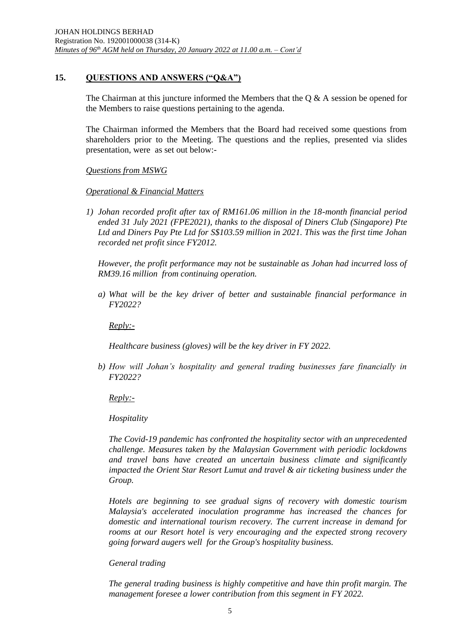# **15. QUESTIONS AND ANSWERS ("Q&A")**

The Chairman at this juncture informed the Members that the  $\alpha \& A$  session be opened for the Members to raise questions pertaining to the agenda.

The Chairman informed the Members that the Board had received some questions from shareholders prior to the Meeting. The questions and the replies, presented via slides presentation, were as set out below:-

### *Questions from MSWG*

### *Operational & Financial Matters*

*1) Johan recorded profit after tax of RM161.06 million in the 18-month financial period ended 31 July 2021 (FPE2021), thanks to the disposal of Diners Club (Singapore) Pte Ltd and Diners Pay Pte Ltd for S\$103.59 million in 2021. This was the first time Johan recorded net profit since FY2012.*

*However, the profit performance may not be sustainable as Johan had incurred loss of RM39.16 million from continuing operation.*

*a) What will be the key driver of better and sustainable financial performance in FY2022?*

*Reply:-*

*Healthcare business (gloves) will be the key driver in FY 2022.*

*b) How will Johan's hospitality and general trading businesses fare financially in FY2022?*

*Reply:-*

*Hospitality*

*The Covid-19 pandemic has confronted the hospitality sector with an unprecedented challenge. Measures taken by the Malaysian Government with periodic lockdowns and travel bans have created an uncertain business climate and significantly impacted the Orient Star Resort Lumut and travel & air ticketing business under the Group.*

*Hotels are beginning to see gradual signs of recovery with domestic tourism Malaysia's accelerated inoculation programme has increased the chances for domestic and international tourism recovery. The current increase in demand for rooms at our Resort hotel is very encouraging and the expected strong recovery going forward augers well for the Group's hospitality business.*

# *General trading*

*The general trading business is highly competitive and have thin profit margin. The management foresee a lower contribution from this segment in FY 2022.*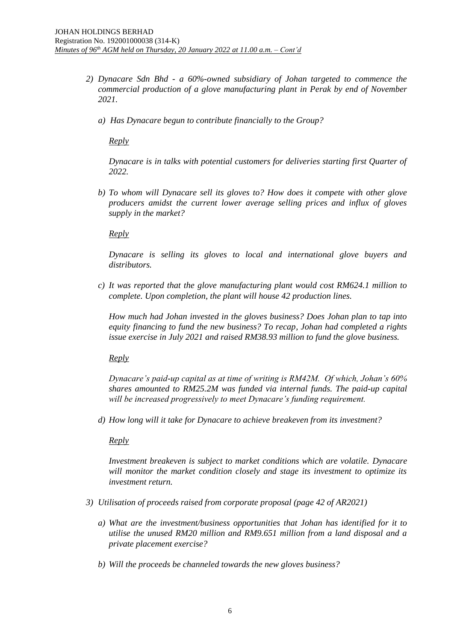- *2) Dynacare Sdn Bhd - a 60%-owned subsidiary of Johan targeted to commence the commercial production of a glove manufacturing plant in Perak by end of November 2021.*
	- *a) Has Dynacare begun to contribute financially to the Group?*

*Reply*

*Dynacare is in talks with potential customers for deliveries starting first Quarter of 2022.*

*b) To whom will Dynacare sell its gloves to? How does it compete with other glove producers amidst the current lower average selling prices and influx of gloves supply in the market?*

*Reply*

*Dynacare is selling its gloves to local and international glove buyers and distributors.* 

*c) It was reported that the glove manufacturing plant would cost RM624.1 million to complete. Upon completion, the plant will house 42 production lines.*

*How much had Johan invested in the gloves business? Does Johan plan to tap into equity financing to fund the new business? To recap, Johan had completed a rights issue exercise in July 2021 and raised RM38.93 million to fund the glove business.*

*Reply*

*Dynacare's paid-up capital as at time of writing is RM42M. Of which, Johan's 60% shares amounted to RM25.2M was funded via internal funds. The paid-up capital will be increased progressively to meet Dynacare's funding requirement.*

*d) How long will it take for Dynacare to achieve breakeven from its investment?*

*Reply*

*Investment breakeven is subject to market conditions which are volatile. Dynacare will monitor the market condition closely and stage its investment to optimize its investment return.*

- *3) Utilisation of proceeds raised from corporate proposal (page 42 of AR2021)*
	- *a) What are the investment/business opportunities that Johan has identified for it to utilise the unused RM20 million and RM9.651 million from a land disposal and a private placement exercise?*
	- *b) Will the proceeds be channeled towards the new gloves business?*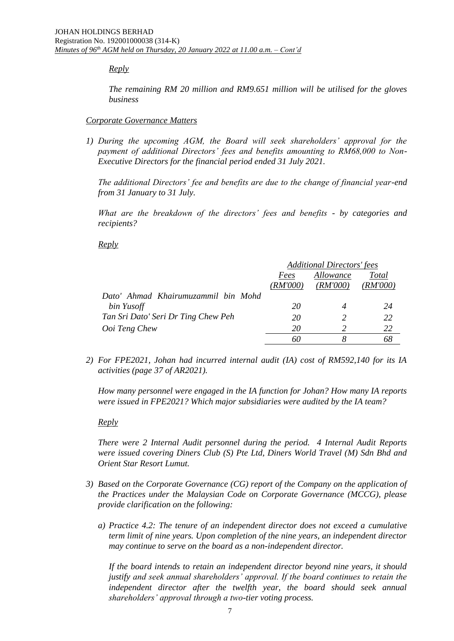#### *Reply*

*The remaining RM 20 million and RM9.651 million will be utilised for the gloves business*

#### *Corporate Governance Matters*

*1) During the upcoming AGM, the Board will seek shareholders' approval for the payment of additional Directors' fees and benefits amounting to RM68,000 to Non-Executive Directors for the financial period ended 31 July 2021.*

*The additional Directors' fee and benefits are due to the change of financial year-end from 31 January to 31 July.*

*What are the breakdown of the directors' fees and benefits - by categories and recipients?*

#### *Reply*

|                                     | <b>Additional Directors' fees</b> |               |          |  |
|-------------------------------------|-----------------------------------|---------------|----------|--|
|                                     | Fees                              | Allowance     | Total    |  |
|                                     | ( <i>RM'000</i> )                 | (RM'000)      | (RM'000) |  |
| Dato' Ahmad Khairumuzammil bin Mohd |                                   |               |          |  |
| bin Yusoff                          | 20                                |               | 24       |  |
| Tan Sri Dato' Seri Dr Ting Chew Peh | 20                                | $\mathcal{P}$ | 22       |  |
| Ooi Teng Chew                       | 20                                |               | 22       |  |
|                                     | 60                                |               |          |  |

*2) For FPE2021, Johan had incurred internal audit (IA) cost of RM592,140 for its IA activities (page 37 of AR2021).*

*How many personnel were engaged in the IA function for Johan? How many IA reports were issued in FPE2021? Which major subsidiaries were audited by the IA team?*

#### *Reply*

*There were 2 Internal Audit personnel during the period. 4 Internal Audit Reports were issued covering Diners Club (S) Pte Ltd, Diners World Travel (M) Sdn Bhd and Orient Star Resort Lumut.*

- *3) Based on the Corporate Governance (CG) report of the Company on the application of the Practices under the Malaysian Code on Corporate Governance (MCCG), please provide clarification on the following:* 
	- *a) Practice 4.2: The tenure of an independent director does not exceed a cumulative term limit of nine years. Upon completion of the nine years, an independent director may continue to serve on the board as a non-independent director.*

*If the board intends to retain an independent director beyond nine years, it should justify and seek annual shareholders' approval. If the board continues to retain the independent director after the twelfth year, the board should seek annual shareholders' approval through a two-tier voting process.*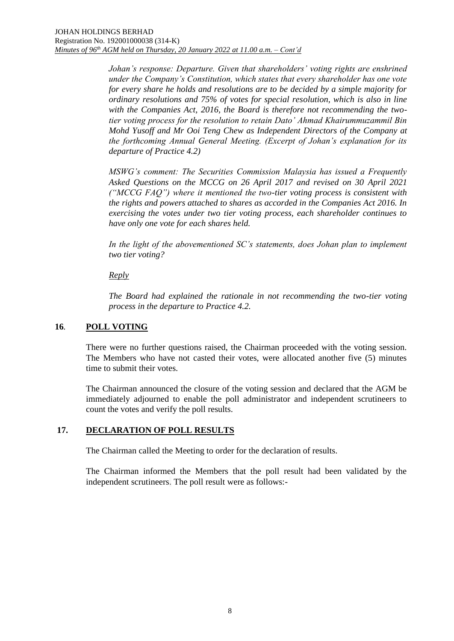*Johan's response: Departure. Given that shareholders' voting rights are enshrined under the Company's Constitution, which states that every shareholder has one vote for every share he holds and resolutions are to be decided by a simple majority for ordinary resolutions and 75% of votes for special resolution, which is also in line with the Companies Act, 2016, the Board is therefore not recommending the twotier voting process for the resolution to retain Dato' Ahmad Khairummuzammil Bin Mohd Yusoff and Mr Ooi Teng Chew as Independent Directors of the Company at the forthcoming Annual General Meeting. (Excerpt of Johan's explanation for its departure of Practice 4.2)* 

*MSWG's comment: The Securities Commission Malaysia has issued a Frequently Asked Questions on the MCCG on 26 April 2017 and revised on 30 April 2021 ("MCCG FAQ") where it mentioned the two-tier voting process is consistent with the rights and powers attached to shares as accorded in the Companies Act 2016. In exercising the votes under two tier voting process, each shareholder continues to have only one vote for each shares held.* 

In the light of the abovementioned SC's statements, does Johan plan to implement *two tier voting?* 

### *Reply*

*The Board had explained the rationale in not recommending the two-tier voting process in the departure to Practice 4.2.* 

# **16***.* **POLL VOTING**

There were no further questions raised, the Chairman proceeded with the voting session. The Members who have not casted their votes, were allocated another five (5) minutes time to submit their votes.

The Chairman announced the closure of the voting session and declared that the AGM be immediately adjourned to enable the poll administrator and independent scrutineers to count the votes and verify the poll results.

### **17. DECLARATION OF POLL RESULTS**

The Chairman called the Meeting to order for the declaration of results.

The Chairman informed the Members that the poll result had been validated by the independent scrutineers. The poll result were as follows:-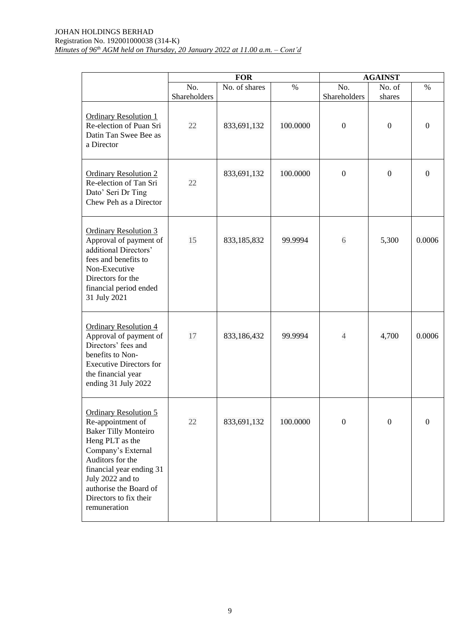|                                                                                                                                                                                                                                                                   | <b>FOR</b>   |               |          | <b>AGAINST</b>   |                  |                |
|-------------------------------------------------------------------------------------------------------------------------------------------------------------------------------------------------------------------------------------------------------------------|--------------|---------------|----------|------------------|------------------|----------------|
|                                                                                                                                                                                                                                                                   | No.          | No. of shares | $\%$     | No.              | No. of           | $\%$           |
|                                                                                                                                                                                                                                                                   | Shareholders |               |          | Shareholders     | shares           |                |
| <b>Ordinary Resolution 1</b><br>Re-election of Puan Sri<br>Datin Tan Swee Bee as<br>a Director                                                                                                                                                                    | 22           | 833,691,132   | 100.0000 | $\boldsymbol{0}$ | $\overline{0}$   | $\mathbf{0}$   |
| <b>Ordinary Resolution 2</b><br>Re-election of Tan Sri<br>Dato' Seri Dr Ting<br>Chew Peh as a Director                                                                                                                                                            | 22           | 833,691,132   | 100.0000 | $\boldsymbol{0}$ | $\mathbf{0}$     | $\overline{0}$ |
| <b>Ordinary Resolution 3</b><br>Approval of payment of<br>additional Directors'<br>fees and benefits to<br>Non-Executive<br>Directors for the<br>financial period ended<br>31 July 2021                                                                           | 15           | 833,185,832   | 99.9994  | 6                | 5,300            | 0.0006         |
| <b>Ordinary Resolution 4</b><br>Approval of payment of<br>Directors' fees and<br>benefits to Non-<br><b>Executive Directors for</b><br>the financial year<br>ending 31 July 2022                                                                                  | 17           | 833,186,432   | 99.9994  | $\overline{4}$   | 4,700            | 0.0006         |
| <b>Ordinary Resolution 5</b><br>Re-appointment of<br><b>Baker Tilly Monteiro</b><br>Heng PLT as the<br>Company's External<br>Auditors for the<br>financial year ending 31<br>July 2022 and to<br>authorise the Board of<br>Directors to fix their<br>remuneration | 22           | 833,691,132   | 100.0000 | $\boldsymbol{0}$ | $\boldsymbol{0}$ | $\mathbf{0}$   |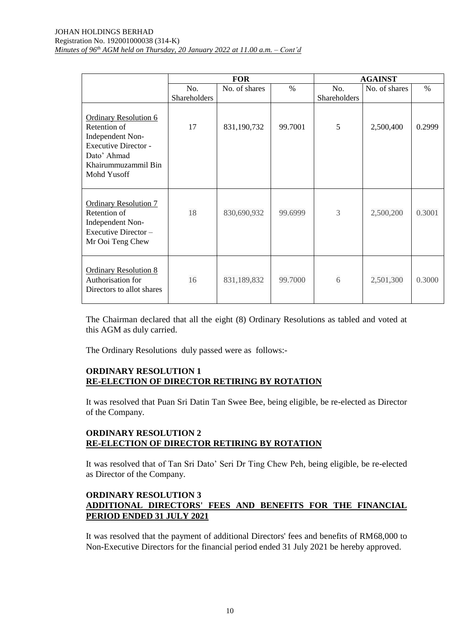|                                                                                                                                                      | <b>FOR</b>   |               |         | <b>AGAINST</b> |               |        |
|------------------------------------------------------------------------------------------------------------------------------------------------------|--------------|---------------|---------|----------------|---------------|--------|
|                                                                                                                                                      | No.          | No. of shares | $\%$    | No.            | No. of shares | $\%$   |
|                                                                                                                                                      | Shareholders |               |         | Shareholders   |               |        |
| <b>Ordinary Resolution 6</b><br>Retention of<br>Independent Non-<br><b>Executive Director -</b><br>Dato' Ahmad<br>Khairummuzammil Bin<br>Mohd Yusoff | 17           | 831,190,732   | 99.7001 | 5              | 2,500,400     | 0.2999 |
| <b>Ordinary Resolution 7</b><br>Retention of<br>Independent Non-<br>Executive Director-<br>Mr Ooi Teng Chew                                          | 18           | 830,690,932   | 99.6999 | 3              | 2,500,200     | 0.3001 |
| <b>Ordinary Resolution 8</b><br>Authorisation for<br>Directors to allot shares                                                                       | 16           | 831,189,832   | 99.7000 | 6              | 2,501,300     | 0.3000 |

The Chairman declared that all the eight (8) Ordinary Resolutions as tabled and voted at this AGM as duly carried.

The Ordinary Resolutions duly passed were as follows:-

# **ORDINARY RESOLUTION 1 RE-ELECTION OF DIRECTOR RETIRING BY ROTATION**

It was resolved that Puan Sri Datin Tan Swee Bee, being eligible, be re-elected as Director of the Company.

# **ORDINARY RESOLUTION 2 RE-ELECTION OF DIRECTOR RETIRING BY ROTATION**

It was resolved that of Tan Sri Dato' Seri Dr Ting Chew Peh, being eligible, be re-elected as Director of the Company.

### **ORDINARY RESOLUTION 3 ADDITIONAL DIRECTORS' FEES AND BENEFITS FOR THE FINANCIAL PERIOD ENDED 31 JULY 2021**

It was resolved that the payment of additional Directors' fees and benefits of RM68,000 to Non-Executive Directors for the financial period ended 31 July 2021 be hereby approved.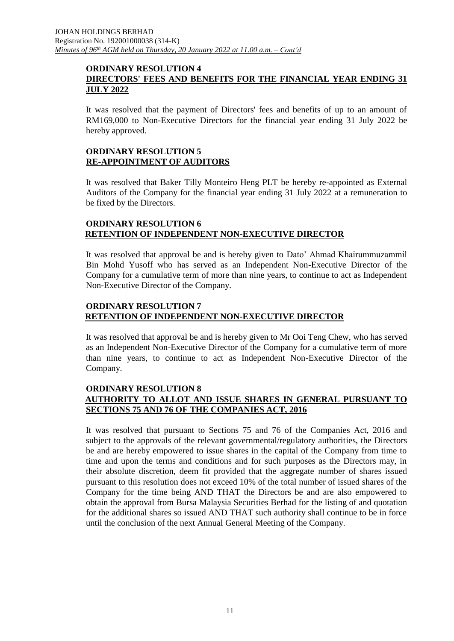#### **ORDINARY RESOLUTION 4 DIRECTORS' FEES AND BENEFITS FOR THE FINANCIAL YEAR ENDING 31 JULY 2022**

It was resolved that the payment of Directors' fees and benefits of up to an amount of RM169,000 to Non-Executive Directors for the financial year ending 31 July 2022 be hereby approved.

### **ORDINARY RESOLUTION 5 RE-APPOINTMENT OF AUDITORS**

It was resolved that Baker Tilly Monteiro Heng PLT be hereby re-appointed as External Auditors of the Company for the financial year ending 31 July 2022 at a remuneration to be fixed by the Directors.

### **ORDINARY RESOLUTION 6 RETENTION OF INDEPENDENT NON-EXECUTIVE DIRECTOR**

It was resolved that approval be and is hereby given to Dato' Ahmad Khairummuzammil Bin Mohd Yusoff who has served as an Independent Non-Executive Director of the Company for a cumulative term of more than nine years, to continue to act as Independent Non-Executive Director of the Company.

### **ORDINARY RESOLUTION 7 RETENTION OF INDEPENDENT NON-EXECUTIVE DIRECTOR**

It was resolved that approval be and is hereby given to Mr Ooi Teng Chew, who has served as an Independent Non-Executive Director of the Company for a cumulative term of more than nine years, to continue to act as Independent Non-Executive Director of the Company.

### **ORDINARY RESOLUTION 8 AUTHORITY TO ALLOT AND ISSUE SHARES IN GENERAL PURSUANT TO SECTIONS 75 AND 76 OF THE COMPANIES ACT, 2016**

It was resolved that pursuant to Sections 75 and 76 of the Companies Act, 2016 and subject to the approvals of the relevant governmental/regulatory authorities, the Directors be and are hereby empowered to issue shares in the capital of the Company from time to time and upon the terms and conditions and for such purposes as the Directors may, in their absolute discretion, deem fit provided that the aggregate number of shares issued pursuant to this resolution does not exceed 10% of the total number of issued shares of the Company for the time being AND THAT the Directors be and are also empowered to obtain the approval from Bursa Malaysia Securities Berhad for the listing of and quotation for the additional shares so issued AND THAT such authority shall continue to be in force until the conclusion of the next Annual General Meeting of the Company.